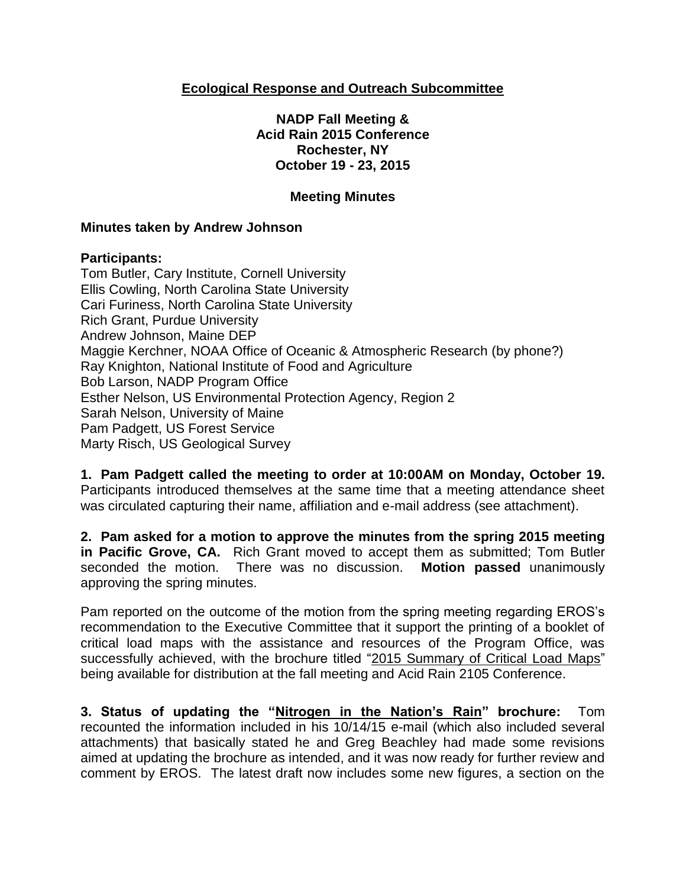# **Ecological Response and Outreach Subcommittee**

**NADP Fall Meeting & Acid Rain 2015 Conference Rochester, NY October 19 - 23, 2015**

## **Meeting Minutes**

### **Minutes taken by Andrew Johnson**

#### **Participants:**

Tom Butler, Cary Institute, Cornell University Ellis Cowling, North Carolina State University Cari Furiness, North Carolina State University Rich Grant, Purdue University Andrew Johnson, Maine DEP Maggie Kerchner, NOAA Office of Oceanic & Atmospheric Research (by phone?) Ray Knighton, National Institute of Food and Agriculture Bob Larson, NADP Program Office Esther Nelson, US Environmental Protection Agency, Region 2 Sarah Nelson, University of Maine Pam Padgett, US Forest Service Marty Risch, US Geological Survey

**1. Pam Padgett called the meeting to order at 10:00AM on Monday, October 19.**  Participants introduced themselves at the same time that a meeting attendance sheet was circulated capturing their name, affiliation and e-mail address (see attachment).

**2. Pam asked for a motion to approve the minutes from the spring 2015 meeting in Pacific Grove, CA.** Rich Grant moved to accept them as submitted; Tom Butler seconded the motion. There was no discussion. **Motion passed** unanimously approving the spring minutes.

Pam reported on the outcome of the motion from the spring meeting regarding EROS's recommendation to the Executive Committee that it support the printing of a booklet of critical load maps with the assistance and resources of the Program Office, was successfully achieved, with the brochure titled "2015 Summary of Critical Load Maps" being available for distribution at the fall meeting and Acid Rain 2105 Conference.

**3. Status of updating the "Nitrogen in the Nation's Rain" brochure:** Tom recounted the information included in his 10/14/15 e-mail (which also included several attachments) that basically stated he and Greg Beachley had made some revisions aimed at updating the brochure as intended, and it was now ready for further review and comment by EROS. The latest draft now includes some new figures, a section on the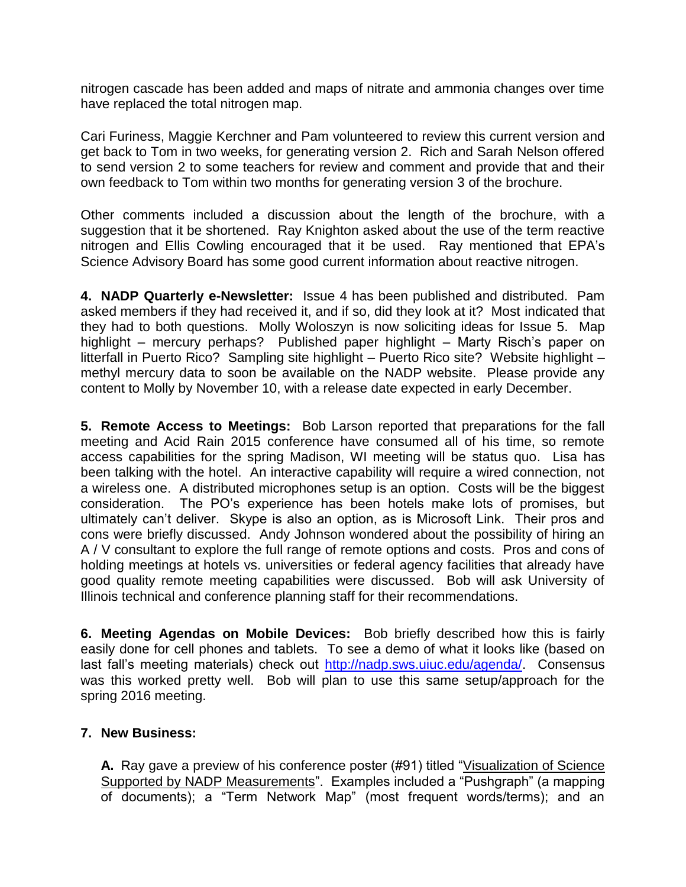nitrogen cascade has been added and maps of nitrate and ammonia changes over time have replaced the total nitrogen map.

Cari Furiness, Maggie Kerchner and Pam volunteered to review this current version and get back to Tom in two weeks, for generating version 2. Rich and Sarah Nelson offered to send version 2 to some teachers for review and comment and provide that and their own feedback to Tom within two months for generating version 3 of the brochure.

Other comments included a discussion about the length of the brochure, with a suggestion that it be shortened. Ray Knighton asked about the use of the term reactive nitrogen and Ellis Cowling encouraged that it be used. Ray mentioned that EPA's Science Advisory Board has some good current information about reactive nitrogen.

**4. NADP Quarterly e-Newsletter:** Issue 4 has been published and distributed. Pam asked members if they had received it, and if so, did they look at it? Most indicated that they had to both questions. Molly Woloszyn is now soliciting ideas for Issue 5. Map highlight – mercury perhaps? Published paper highlight – Marty Risch's paper on litterfall in Puerto Rico? Sampling site highlight – Puerto Rico site? Website highlight – methyl mercury data to soon be available on the NADP website. Please provide any content to Molly by November 10, with a release date expected in early December.

**5. Remote Access to Meetings:** Bob Larson reported that preparations for the fall meeting and Acid Rain 2015 conference have consumed all of his time, so remote access capabilities for the spring Madison, WI meeting will be status quo. Lisa has been talking with the hotel. An interactive capability will require a wired connection, not a wireless one. A distributed microphones setup is an option. Costs will be the biggest consideration. The PO's experience has been hotels make lots of promises, but ultimately can't deliver. Skype is also an option, as is Microsoft Link. Their pros and cons were briefly discussed. Andy Johnson wondered about the possibility of hiring an A / V consultant to explore the full range of remote options and costs. Pros and cons of holding meetings at hotels vs. universities or federal agency facilities that already have good quality remote meeting capabilities were discussed. Bob will ask University of Illinois technical and conference planning staff for their recommendations.

**6. Meeting Agendas on Mobile Devices:** Bob briefly described how this is fairly easily done for cell phones and tablets. To see a demo of what it looks like (based on last fall's meeting materials) check out [http://nadp.sws.uiuc.edu/agenda/.](http://nadp.sws.uiuc.edu/agenda/) Consensus was this worked pretty well. Bob will plan to use this same setup/approach for the spring 2016 meeting.

## **7. New Business:**

**A.** Ray gave a preview of his conference poster (#91) titled "Visualization of Science Supported by NADP Measurements". Examples included a "Pushgraph" (a mapping of documents); a "Term Network Map" (most frequent words/terms); and an